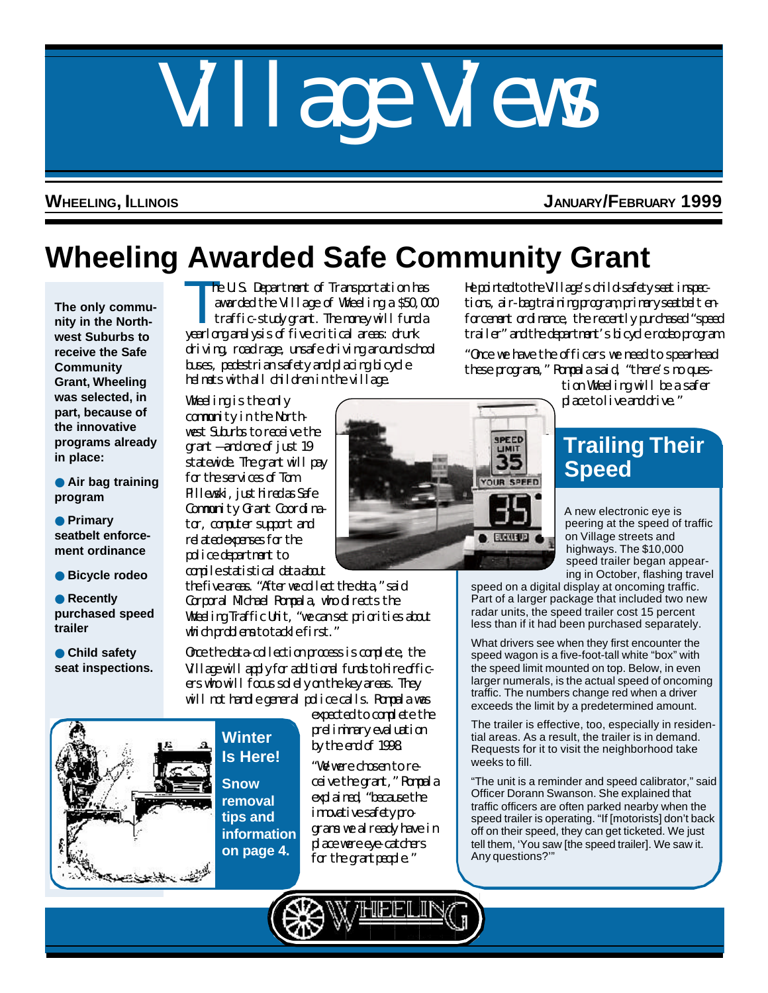# Village Views

### **WHEELING, ILLINOIS JANUARY/FEBRUARY 1999**

# **Wheeling Awarded Safe Community Grant**

**The only community in the Northwest Suburbs to receive the Safe Community Grant, Wheeling was selected, in part, because of the innovative programs already in place:**

● **Air bag training program**

● **Primary seatbelt enforcement ordinance**

● **Bicycle rodeo**

● **Recently purchased speed trailer**

● **Child safety seat inspections.**

The U.S. Department of Transportation has<br>awarded the Village of Wheeling a \$50,00<br>traffic-study grant. The noney will fund a awarded the Village of Wheeling a \$50,000 traffic-study grant. The money will fund a yearlong analysis of five critical areas: drunk driving, road rage, unsafe driving around school buses, pedestrian safety and placing bicycle helmets with all children in the village.

Wheeling is the only community in the Northwest Suburbs to receive the grant — and one of just 19 statewide. The grant will pay for the services of Tom Pillewski, just hired as Safe Community Grant Coordinator, computer support and related expenses for the police department to compile statistical data about

the five areas. "After we collect the data," said Corporal Michael Rompala, who directs the Wheeling Traffic Unit, "we can set priorities about which problems to tackle first."

Once the data-collection process is complete, the Village will apply for additional funds to hire officers who will focus solely on the key areas. They will not handle general police calls. Rompala was

> expected to complete the preliminary evaluation by the end of 1998.

"We were chosen to receive the grant," Rompala explained, "because the innovative safety programs we already have in place were eye-catchers for the grant people."

He pointed to the Village's child-safety seat inspections, air-bag training program, primary seatbelt enforcement ordinance, the recently purchased "speed trailer" and the department's bicycle rodeo program.

"Once we have the officers we need to spearhead these programs," Rompala said, "there's no ques-

tion Wheeling will be a safer place to live and drive."

# **Trailing Their Speed**

A new electronic eye is peering at the speed of traffic on Village streets and highways. The \$10,000 speed trailer began appearing in October, flashing travel

speed on a digital display at oncoming traffic. Part of a larger package that included two new radar units, the speed trailer cost 15 percent less than if it had been purchased separately.

What drivers see when they first encounter the speed wagon is a five-foot-tall white "box" with the speed limit mounted on top. Below, in even larger numerals, is the actual speed of oncoming traffic. The numbers change red when a driver exceeds the limit by a predetermined amount.

The trailer is effective, too, especially in residential areas. As a result, the trailer is in demand. Requests for it to visit the neighborhood take weeks to fill.

"The unit is a reminder and speed calibrator," said Officer Dorann Swanson. She explained that traffic officers are often parked nearby when the speed trailer is operating. "If [motorists] don't back off on their speed, they can get ticketed. We just tell them, 'You saw [the speed trailer]. We saw it. Any questions?'"

**Winter Is Here! Snow**

**removal tips and information on page 4.**

 $\bullet$  EUGNIEUR



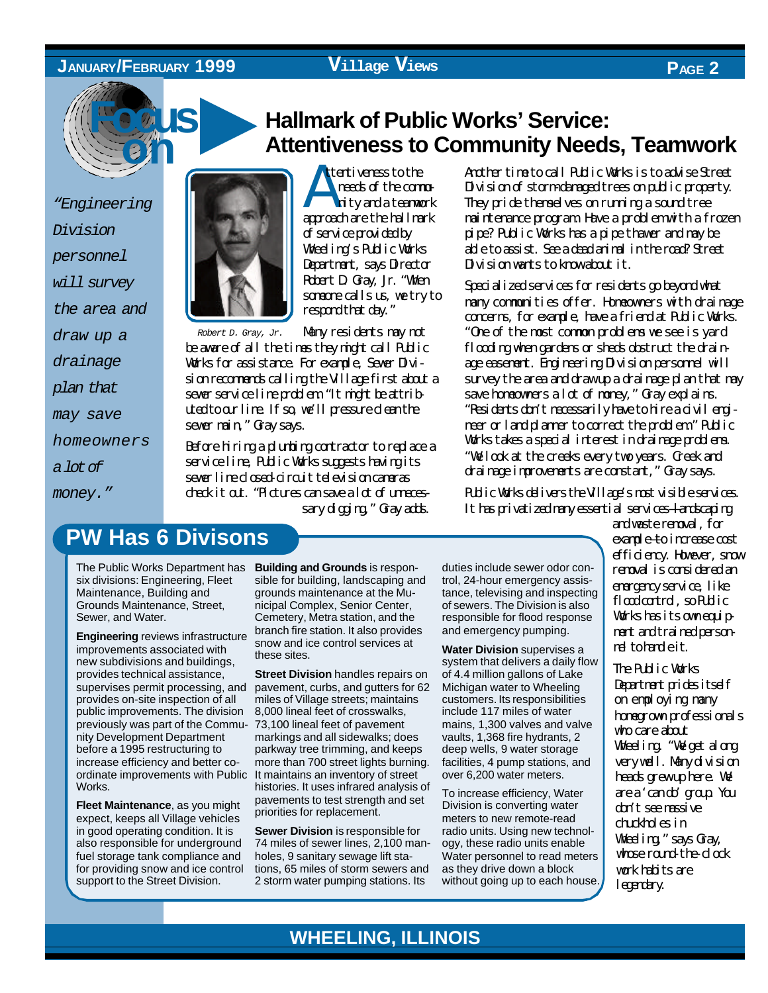### **JANUARY/FEBRUARY 1999**

### **Village Views PAGE 2**



*"Engineering Division personnel will survey the area and draw up a drainage plan that may save homeowners a lot of money."*



Att ttentiveness to the needs of the commu nity and a teamwork approach are the hallmark of service provided by Wheeling's Public Works Department, says Director Robert D. Gray, Jr. "When someone calls us, we try to respond that day."

*Robert D. Gray, Jr.* Many residents may not

be aware of all the times they might call Public Works for assistance. For example, Sewer Division recomments calling the Village first about a sewer service line problem. "It might be attributed to our line. If so, we'll pressure dean the sewer main," Gray says.

Before hiring a plumbing contractor to replace a service line, Public Works suggests having its sewer line closed-circuit television cameras check it out. "Pictures can save a lot of unnecessary digging," Gray adds.

# ▲ **Hallmark of Public Works' Service: Attentiveness to Community Needs, Teamwork**

Another time to call Public Works is to advise Street Division of storm-damaged trees on public property. They pride themselves on running a sound tree maintenance program. Have a problem with a frozen pipe? Public Works has a pipe thawer and may be able to assist. See a dead animal in the road? Street Division wants to know about it.

Specialized services for residents go beyond what many communities offer. Homeowners with drainage concerns, for example, have a friend at Public Works. "One of the most common problems we see is yard flooding when gardens or sheds obstruct the drainage easement. Engineering Division personnel will survey the area and draw up a drainage plan that may save homeowners a lot of money," Gray explains. "Residents don't necessarily have to hire a civil engineer or land planner to correct the problem." Public Works takes a special interest in drainage problems. "We look at the creeks every two years. Creek and drainage improvements are constant," Gray says.

Public Works delivers the Village's most visible services. It has privatized nany essential services—landscaping

# **PW Has 6 Divisons**

The Public Works Department has six divisions: Engineering, Fleet Maintenance, Building and Grounds Maintenance, Street, Sewer, and Water.

**Engineering** reviews infrastructure improvements associated with new subdivisions and buildings, provides technical assistance, supervises permit processing, and provides on-site inspection of all public improvements. The division previously was part of the Commu-73,100 lineal feet of pavement nity Development Department before a 1995 restructuring to increase efficiency and better coordinate improvements with Public Works.

**Fleet Maintenance**, as you might expect, keeps all Village vehicles in good operating condition. It is also responsible for underground fuel storage tank compliance and for providing snow and ice control support to the Street Division.

**Building and Grounds** is responsible for building, landscaping and grounds maintenance at the Municipal Complex, Senior Center, Cemetery, Metra station, and the branch fire station. It also provides snow and ice control services at these sites.

**Street Division** handles repairs on pavement, curbs, and gutters for 62 miles of Village streets; maintains 8,000 lineal feet of crosswalks, markings and all sidewalks; does parkway tree trimming, and keeps more than 700 street lights burning. It maintains an inventory of street histories. It uses infrared analysis of pavements to test strength and set priorities for replacement.

**Sewer Division** is responsible for 74 miles of sewer lines, 2,100 manholes, 9 sanitary sewage lift stations, 65 miles of storm sewers and 2 storm water pumping stations. Its

duties include sewer odor control, 24-hour emergency assistance, televising and inspecting of sewers. The Division is also responsible for flood response and emergency pumping.

**Water Division** supervises a system that delivers a daily flow of 4.4 million gallons of Lake Michigan water to Wheeling customers. Its responsibilities include 117 miles of water mains, 1,300 valves and valve vaults, 1,368 fire hydrants, 2 deep wells, 9 water storage facilities, 4 pump stations, and over 6,200 water meters.

To increase efficiency, Water Division is converting water meters to new remote-read radio units. Using new technology, these radio units enable Water personnel to read meters as they drive down a block without going up to each house.

and waste removal, for example—to increase cost efficiency. However, snow removal is considered an emergency service, like floodcortrol, so Public Works has its own equipment and trained personnel to handle it.

The Public Works Department prides itself on employing many homegrown professionals who care about Wheeling. "We get along very well. Many division heads grew up here. We area 'cando' group. You don't see massive chuckholes in Wheeling," says Gray, whose round-the-clock work habits are legendary.

# **WHEELING, ILLINOIS**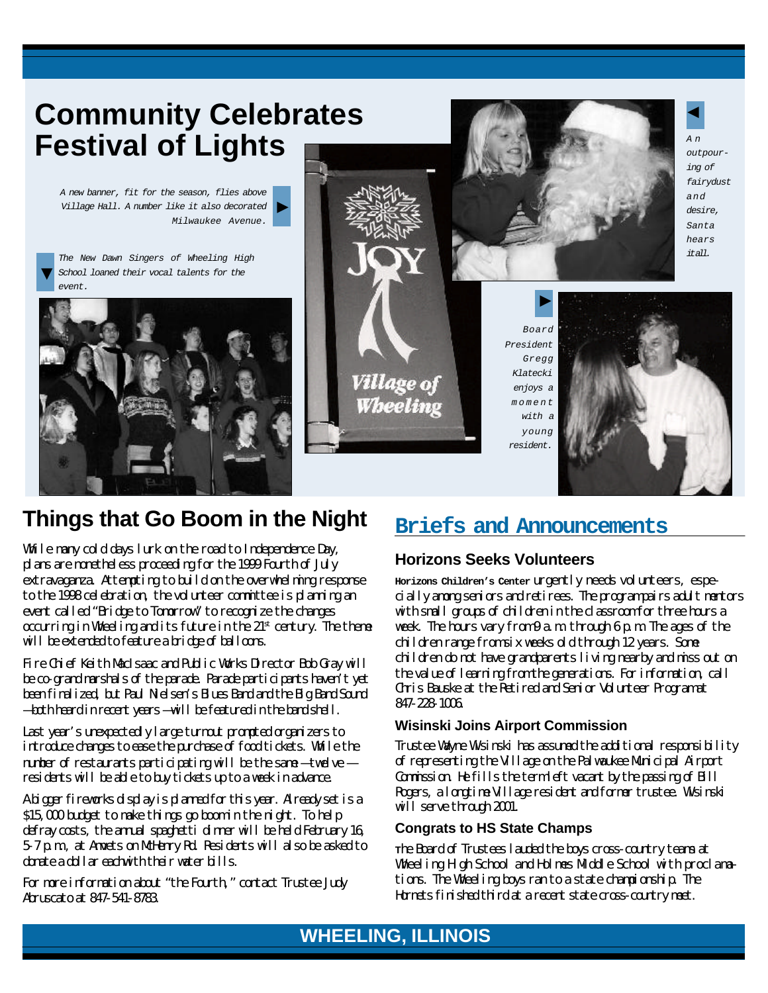# **Community Celebrates Festival of Lights**

*A new banner, fit for the season, flies above Village Hall. A number like it also decorated Milwaukee Avenue.* ▼

*The New Dawn Singers of Wheeling High* ▼ School loaned their vocal talents for the *event.*





*Board President Gregg Klatecki enjoys a moment with a young resident.*



# *A n outpourfairydust*  $\blacktriangleleft$

# **Things that Go Boom in the Night**

While many cold days lurk on the road to Independence Day, plans are nonetheless proceeding for the 1999 Fourth of July extravaganza. Attempting to build on the overwhelming response to the 1998 celebration, the volunteer committee is planning an event called "Bridge to Tomorrow" to recognize the changes  $\alpha$ ccurring in Wheeling and its future in the  $21<sup>st</sup>$  century. The theme will be extended to feature a bridge of balloons.

Fire Chief Keith MacIsaac and Public Works Director Bob Gray will be co-grand marshals of the parade. Parade participants haven't yet been finalized, but Paul Nielsen's Blues Band and the Big Band Sound — both heard in recent years — will be featured in the band shell.

Last year's unexpectedly large turnout prompted organizers to introduce changes to ease the purchase of food tickets. While the number of restaurants participating will be the same — twelve residents will be able to buy tickets up to a week in advance.

A bigger fireworks display is planned for this year. Already set is a \$15,000 budget to make things go boom in the night. To help defray costs, the annual spaghetti dinner will be held February 16, 5-7 p.m., at Amvets on McHenry Rd. Residents will also be asked to donate a dollar eachwith their water bills.

For more information about "the Fourth," contact Trustee Judy Abruscato at 847-541-8783.

# **Briefs and Announcements**

### **Horizons Seeks Volunteers**

**Horizons Children's Center** urgently needs volunteers, especially among seniors and retirees. The program pairs adult mentors with small groups of children in the classroom for three hours a week. The hours vary from 9 a.m. through 6 p.m. The ages of the children range from six weeks old through 12 years. Some children do not have grandparents living nearby and miss out on the value of learning from the generations. For information, call Chris Bauske at the Retired and Senior Volunteer Program at 847-228-1006.

### **Wisinski Joins Airport Commission**

Trustee Wayne Wisinski has assumed the additional responsibility of representing the Village on the Palwaukee Municipal Airport Commission. He fills the term left vacant by the passing of Bill Rogers, a longtime Village resident and former trustee. Wisinski will serve through 2001.

### **Congrats to HS State Champs**

**T**he Board of Trustees lauded the boys cross-country teams at Wheeling High School and Holmes Middle School with proclamations. The Wheeling boys ran to a state championship. The Hornets finished third at a recent state cross-country meet.

# **WHEELING, ILLINOIS WHEELING, ILLINOIS**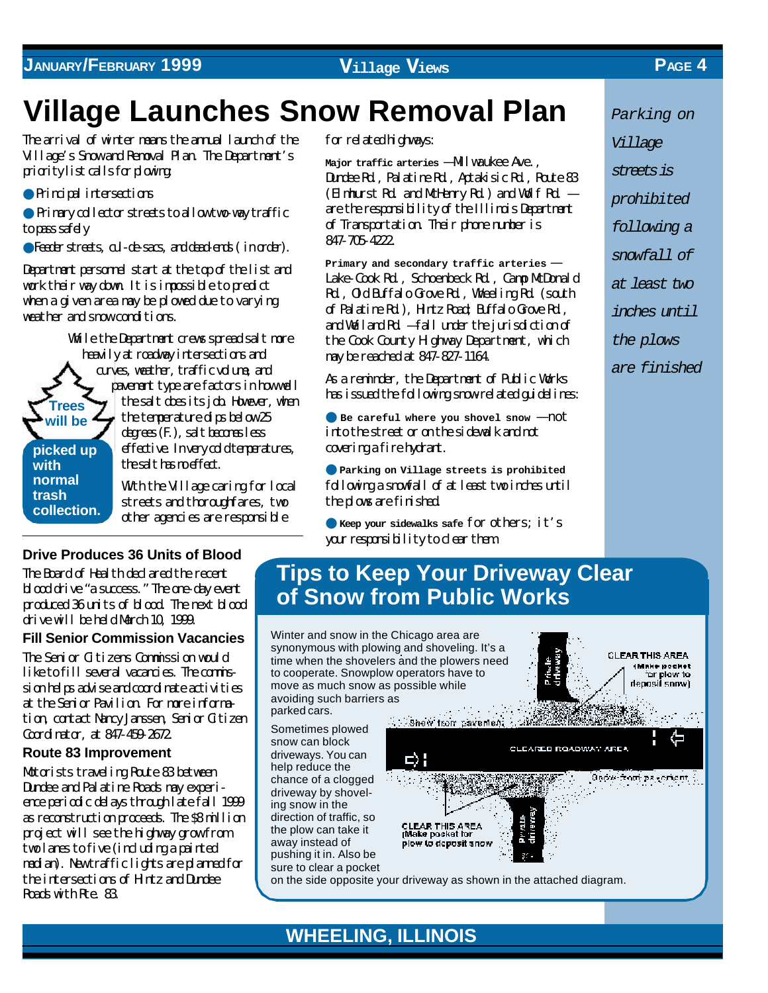### **JANUARY/FEBRUARY 1999 Village Views PAGE 4**

# **Village Launches Snow Removal Plan**

The arrival of winter means the annual launch of the Village's Snow and Removal Plan. The Department's priority list calls for plowing:

● Principal intersections

**with normal trash collection.**

● Primary collector streets to allow two-way traffic to pass safely

● Feeder streets, cul-de-sacs, and dead-ends ( in order).

Department personnel start at the top of the list and work their way down. It is impossible to predict when a given area may be plowed due to varying weather and snow conditions.

**Trees will be picked up** While the Department crews spread salt more heavily at roadway intersections and curves, weather, traffic volume, and pavement type are factors in how well the salt does its job. However, when the temperature dips below 25 degrees (F.), salt becomes less effective. In very cold temperatures, the salt has mediat.

> With the Village caring for local streets and thoroughfares, two other agencies are responsible

**Drive Produces 36 Units of Blood**

The Board of Health declared the recent blood drive "a success." The one-day event produced 36 units of blood. The next blood drive will be held March 10, 1999.

**Fill Senior Commission Vacancies** The Senior Citizens Commission would like to fill several vacancies. The commission helps advise and coordinate activities at the Senior Pavilion. For more information, contact Nancy Janssen, Senior Citizen Coordinator, at 847-459-2672.

### **Route 83 Improvement**

Motorists traveling Route 83 between Dundee and Palatine Roads may experience periodic delays through late fall 1999 as reconstruction proceeds. The \$8 million project will see the highway grow from two lanes to five (including a painted median). New traffic lights are planned for the intersections of Hintz and Dundee Roads with Rte. 83.

### for related highways:

Major traffic arteries  $-M$ l waukee Ave., Dundee Rd., Palatine Rd., Aptakisic Rd., Route 83 (Elmhurst Rd. and McHenry Rd.) and Wolf Rd.  $$ are the responsibility of the Illinois Department of Transportation. Their phone number is 847-705-4222.

**Primary and secondary traffic arteries** — Lake-Cook Rd., Schoenbeck Rd., Camp McDonald Rd., Old Buffalo Grove Rd., Wheeling Rd. (south of Palatine Rd.), Hintz Road; Buffalo Grove Rd., and Weiland Rd. — fall under the jurisdiction of the Cook County Highway Department, which may be reached at 847-827-1164.

As a reminder, the Department of Public Works has issued the following snow-related guidelines:

**• Be careful where you shovel snow - not** into the street or on the sidewalk and not covering a fire hydrant.

● **Parking on Village streets is prohibited** following a snowfall of at least two inches until the plows are finished.

● **Keep your sidewalks safe** for others; it's your responsibility to dear them.

# *Parking on Village streets is prohibited following a snowfall of at least two inches until the plows are finished*

# **Tips to Keep Your Driveway Clear of Snow from Public Works**

Winter and snow in the Chicago area are synonymous with plowing and shoveling. It's a time when the shovelers and the plowers need to cooperate. Snowplow operators have to move as much snow as possible while avoiding such barriers as  $\sim 2.5\%$  and parked cars.

**WHEELING, ILLINOIS**



-CLEARED ROADWAY AREA

**GLEAR THIS AREA** (Make pocket for plaw to deposit snow)

 $\partial$  power only payor can  $\langle \cdot \rangle$ 

A, Ca

Sometimes plowed snow can block driveways. You can help reduce the chance of a clogged driveway by shoveling snow in the direction of traffic, so the plow can take it away instead of pushing it in. Also be sure to clear a pocket

on the side opposite your driveway as shown in the attached diagram.

**CLEAR THIS AREA**<br>(Make pocket for plew to deposit snow

**Second them pavement** 

d) ¦



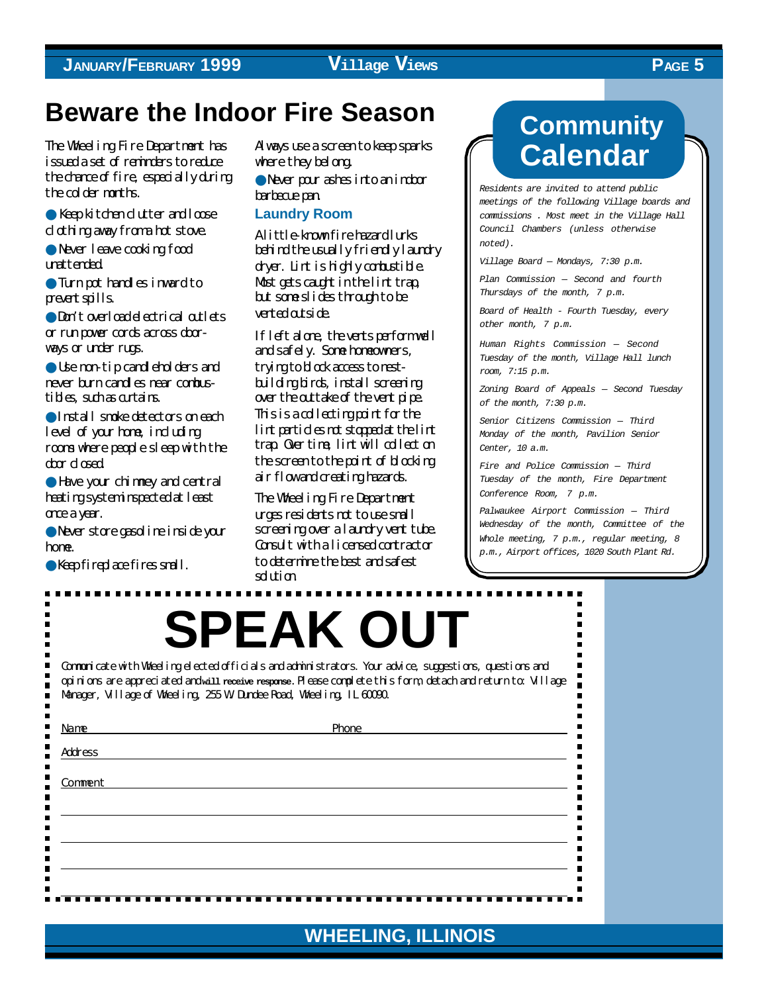# **Beware the Indoor Fire Season**

The Wheeling Fire Department has issued a set of reminders to reduce the drama of fire, especially during the colder months.

● Keep kitchen clutter and loose d othing away from a hot stove.

● Never leave cooking food unattended.

● Turn pot handles inward to prevent spills.

● Don't overload electrical outlets or run power cords across doorways or under rugs.

● Use non-tip candleholders and never burn candles near combustibles, such as curtains.

● Install smoke detectors on each level of your home, including rooms where people sleep with the door closed.

● Have your chimney and central heating systeminspected at least once a year.

● Never store gasoline inside your home.

● Keep fireplace fires small.

 $\blacksquare$ 

 $\blacksquare$  $\blacksquare$ 

Н

П п

п

 $\blacksquare$ 

 $\blacksquare$ 

п

 $\blacksquare$ 

 $\blacksquare$ 

 $\blacksquare$ 

 $\blacksquare$ 

 $\blacksquare$ 

Always use a screen to keep sparks where they belong.

● Never pour ashes into an indoor barbecue pan.

### **Laundry Room**

A little-known fire hazard lurks behind the usually friendly laundry dryer. Lint is highly combustible. Most gets caught in the lint trap, but some slides through to be vented outside.

If left alone, the vents perform well and safely. Some homeowners, trying to block access to nestbuilding birds, install screening over the outtake of the vent pipe. This is a collecting point for the lint particles not stopped at the lint trap. Over time, lint will collect on the screen to the point of blocking air flow and creating hazards.

The Wheeling Fire Department urges residents not to use small screening over a laundry vent tube. Consult with a licensed contractor to determine the best and safest solution.

# **Community Calendar**

*Residents are invited to attend public meetings of the following Village boards and commissions . Most meet in the Village Hall Council Chambers (unless otherwise noted).*

*Village Board — Mondays, 7:30 p.m.*

*Plan Commission — Second and fourth Thursdays of the month, 7 p.m.*

*Board of Health - Fourth Tuesday, every other month, 7 p.m.*

*Human Rights Commission — Second Tuesday of the month, Village Hall lunch room, 7:15 p.m.*

*Zoning Board of Appeals — Second Tuesday of the month, 7:30 p.m.*

*Senior Citizens Commission — Third Monday of the month, Pavilion Senior Center, 10 a.m.*

*Fire and Police Commission — Third Tuesday of the month, Fire Department Conference Room, 7 p.m.*

*Palwaukee Airport Commission — Third Wednesday of the month, Committee of the Whole meeting, 7 p.m., regular meeting, 8 p.m., Airport offices, 1020 South Plant Rd.*

> . .  $\blacksquare$  $\blacksquare$

> > $\blacksquare$

п

 $\blacksquare$  $\blacksquare$ 

 $\blacksquare$ 

 $\blacksquare$ 

 $\blacksquare$  $\blacksquare$  $\blacksquare$ 

 $\blacksquare$ 

 $\blacksquare$ 

 $\blacksquare$ 

 $\blacksquare$ 

 $\blacksquare$ 

 $\blacksquare$ 

 $\blacksquare$ 

# **SPEAK OUT**

Communicate with Wheeling elected officials and administrators. Your advice, suggestions, questions and opinions are appreciated and **will receive response.** Please complete this form, detach and return to: Village Manager, Village of Wheeling, 255 W. Dundee Road, Wheeling, IL 60090.

| Name           | Phone                                                |   |
|----------------|------------------------------------------------------|---|
| <b>Address</b> |                                                      |   |
|                |                                                      |   |
| Comment        |                                                      |   |
|                |                                                      |   |
|                |                                                      |   |
|                |                                                      |   |
|                |                                                      |   |
|                |                                                      |   |
|                |                                                      |   |
|                |                                                      |   |
| n m<br>.       | .<br>a ka<br><b>The Co</b><br>a ka<br>.<br>a ka<br>. | . |

**WHEELING, ILLINOIS**